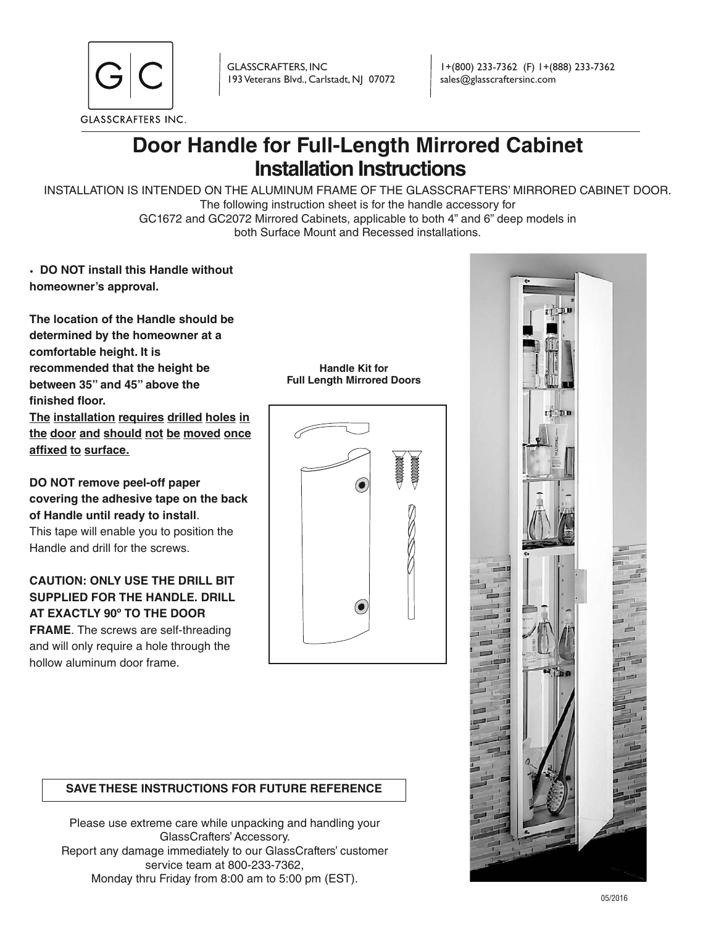

GLASSCRAFTERS, INC 193 Veterans Blvd., Carlstadt, NJ 07072

1+(800) 233-7362 (F) 1+(888) 233-7362 sales@glasscraftersinc.com

# **Door Handle for Full-Length Mirrored Cabinet Installation Instructions**

INSTALLATION IS INTENDED ON THE ALUMINUM FRAME OF THE GLASSCRAFTERS' MIRRORED CABINET DOOR. The following instruction sheet is for the handle accessory for GC1672 and GC2072 Mirrored Cabinets, applicable to both 4" and 6" deep models in both Surface Mount and Recessed installations.

> **Handle Kit for Full Length Mirrored Doors**

• **DO NOT install this Handle without homeowner's approval.** 

**The location of the Handle should be determined by the homeowner at a comfortable height. It is recommended that the height be between 35" and 45" above the finished floor.**

**The installation requires drilled holes in the door and should not be moved once affixed to surface**.

### **DO NOT remove peel-off paper covering the adhesive tape on the back of Handle until ready to install**.

This tape will enable you to position the Handle and drill for the screws.

## **CAUTION: ONLY USE THE DRILL BIT SUPPLIED FOR THE HANDLE. DRILL AT EXACTLY 90º TO THE DOOR**

**FRAME**. The screws are self-threading and will only require a hole through the hollow aluminum door frame.

0

## **SAVE THESE INSTRUCTIONS FOR FUTURE REFERENCE**

Please use extreme care while unpacking and handling your GlassCrafters' Accessory. Report any damage immediately to our GlassCrafters' customer service team at 800-233-7362, Monday thru Friday from 8:00 am to 5:00 pm (EST).